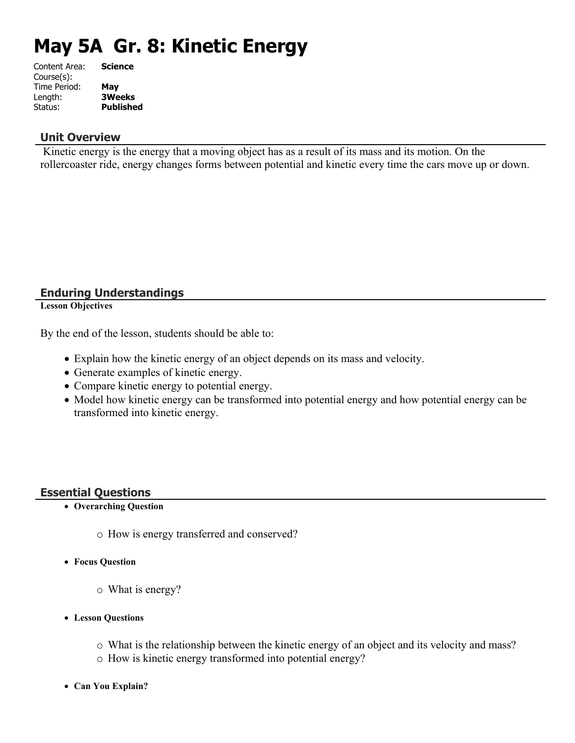# **May 5A Gr. 8: Kinetic Energy**

| Content Area: | <b>Science</b>   |
|---------------|------------------|
| Course(s):    |                  |
| Time Period:  | May              |
| Length:       | <b>3Weeks</b>    |
| Status:       | <b>Published</b> |
|               |                  |

### **Unit Overview**

 Kinetic energy is the energy that a moving object has as a result of its mass and its motion. On the rollercoaster ride, energy changes forms between potential and kinetic every time the cars move up or down.

### **Enduring Understandings**

**Lesson Objectives**

By the end of the lesson, students should be able to:

- Explain how the kinetic energy of an object depends on its mass and velocity.
- Generate examples of kinetic energy.
- Compare kinetic energy to potential energy.
- Model how kinetic energy can be transformed into potential energy and how potential energy can be transformed into kinetic energy.

### **Essential Questions**

- **Overarching Question**
	- o How is energy transferred and conserved?
- **Focus Question**
	- o What is energy?
- **Lesson Questions**
	- o What is the relationship between the kinetic energy of an object and its velocity and mass?
	- o How is kinetic energy transformed into potential energy?
- **Can You Explain?**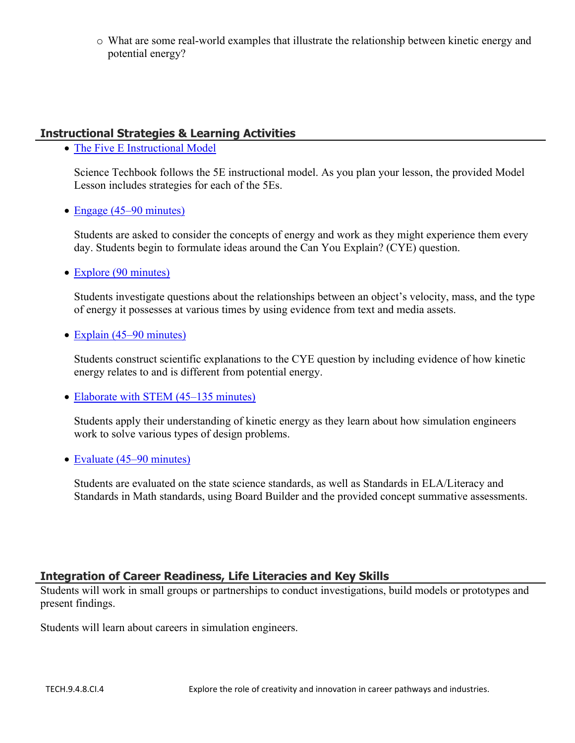o What are some real-world examples that illustrate the relationship between kinetic energy and potential energy?

# **Instructional Strategies & Learning Activities**

• [The Five E Instructional Model](https://app.discoveryeducation.com/learn/techbook/units/c43e2582-9232-4720-aa4b-e50720dbedc3/concepts/c9dc4fc1-d2d6-47ad-9684-0c951140eb77/lesson/sections/619e8125-6a91-43c0-894b-e0ccc8df1921#6d7e27de-b784-466f-8a1b-4c74fc16b5c7)

Science Techbook follows the 5E instructional model. As you plan your lesson, the provided Model Lesson includes strategies for each of the 5Es.

• [Engage \(45–90 minutes\)](https://app.discoveryeducation.com/learn/techbook/units/c43e2582-9232-4720-aa4b-e50720dbedc3/concepts/c9dc4fc1-d2d6-47ad-9684-0c951140eb77/lesson/sections/619e8125-6a91-43c0-894b-e0ccc8df1921#c0021a05-5751-4fd9-8faa-b7987bb6fc0a)

Students are asked to consider the concepts of energy and work as they might experience them every day. Students begin to formulate ideas around the Can You Explain? (CYE) question.

• [Explore \(90 minutes\)](https://app.discoveryeducation.com/learn/techbook/units/c43e2582-9232-4720-aa4b-e50720dbedc3/concepts/c9dc4fc1-d2d6-47ad-9684-0c951140eb77/lesson/sections/619e8125-6a91-43c0-894b-e0ccc8df1921#9aec3003-88c1-438a-9ed7-b663061fcb86)

Students investigate questions about the relationships between an object's velocity, mass, and the type of energy it possesses at various times by using evidence from text and media assets.

• [Explain \(45–90 minutes\)](https://app.discoveryeducation.com/learn/techbook/units/c43e2582-9232-4720-aa4b-e50720dbedc3/concepts/c9dc4fc1-d2d6-47ad-9684-0c951140eb77/lesson/sections/619e8125-6a91-43c0-894b-e0ccc8df1921#ea8aaf9a-ed21-4be8-9fb3-8288cf2db971)

Students construct scientific explanations to the CYE question by including evidence of how kinetic energy relates to and is different from potential energy.

• [Elaborate with STEM \(45–135 minutes\)](https://app.discoveryeducation.com/learn/techbook/units/c43e2582-9232-4720-aa4b-e50720dbedc3/concepts/c9dc4fc1-d2d6-47ad-9684-0c951140eb77/lesson/sections/619e8125-6a91-43c0-894b-e0ccc8df1921#46e2e59d-cc60-4d96-a62d-9506e2802ab4)

Students apply their understanding of kinetic energy as they learn about how simulation engineers work to solve various types of design problems.

• [Evaluate \(45–90 minutes\)](https://app.discoveryeducation.com/learn/techbook/units/c43e2582-9232-4720-aa4b-e50720dbedc3/concepts/c9dc4fc1-d2d6-47ad-9684-0c951140eb77/lesson/sections/619e8125-6a91-43c0-894b-e0ccc8df1921#53545adf-cd3e-4f91-b8c6-93baaadd6a7d)

Students are evaluated on the state science standards, as well as Standards in ELA/Literacy and Standards in Math standards, using Board Builder and the provided concept summative assessments.

# **Integration of Career Readiness, Life Literacies and Key Skills**

Students will work in small groups or partnerships to conduct investigations, build models or prototypes and present findings.

Students will learn about careers in simulation engineers.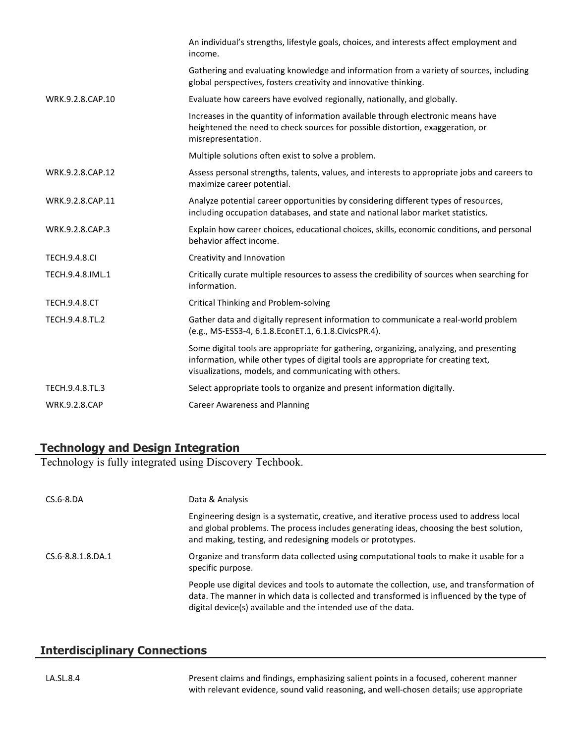|                      | An individual's strengths, lifestyle goals, choices, and interests affect employment and<br>income.                                                                                                                                     |
|----------------------|-----------------------------------------------------------------------------------------------------------------------------------------------------------------------------------------------------------------------------------------|
|                      | Gathering and evaluating knowledge and information from a variety of sources, including<br>global perspectives, fosters creativity and innovative thinking.                                                                             |
| WRK.9.2.8.CAP.10     | Evaluate how careers have evolved regionally, nationally, and globally.                                                                                                                                                                 |
|                      | Increases in the quantity of information available through electronic means have<br>heightened the need to check sources for possible distortion, exaggeration, or<br>misrepresentation.                                                |
|                      | Multiple solutions often exist to solve a problem.                                                                                                                                                                                      |
| WRK.9.2.8.CAP.12     | Assess personal strengths, talents, values, and interests to appropriate jobs and careers to<br>maximize career potential.                                                                                                              |
| WRK.9.2.8.CAP.11     | Analyze potential career opportunities by considering different types of resources,<br>including occupation databases, and state and national labor market statistics.                                                                  |
| WRK.9.2.8.CAP.3      | Explain how career choices, educational choices, skills, economic conditions, and personal<br>behavior affect income.                                                                                                                   |
| <b>TECH.9.4.8.CI</b> | Creativity and Innovation                                                                                                                                                                                                               |
| TECH.9.4.8.IML.1     | Critically curate multiple resources to assess the credibility of sources when searching for<br>information.                                                                                                                            |
| <b>TECH.9.4.8.CT</b> | <b>Critical Thinking and Problem-solving</b>                                                                                                                                                                                            |
| TECH.9.4.8.TL.2      | Gather data and digitally represent information to communicate a real-world problem<br>(e.g., MS-ESS3-4, 6.1.8.EconET.1, 6.1.8.CivicsPR.4).                                                                                             |
|                      | Some digital tools are appropriate for gathering, organizing, analyzing, and presenting<br>information, while other types of digital tools are appropriate for creating text,<br>visualizations, models, and communicating with others. |
| TECH.9.4.8.TL.3      | Select appropriate tools to organize and present information digitally.                                                                                                                                                                 |
| <b>WRK.9.2.8.CAP</b> | <b>Career Awareness and Planning</b>                                                                                                                                                                                                    |

### **Technology and Design Integration**

Technology is fully integrated using Discovery Techbook.

| $CS.6 - 8.DA$     | Data & Analysis                                                                                                                                                                                                                                          |
|-------------------|----------------------------------------------------------------------------------------------------------------------------------------------------------------------------------------------------------------------------------------------------------|
|                   | Engineering design is a systematic, creative, and iterative process used to address local<br>and global problems. The process includes generating ideas, choosing the best solution,<br>and making, testing, and redesigning models or prototypes.       |
| CS.6-8.8.1.8.DA.1 | Organize and transform data collected using computational tools to make it usable for a<br>specific purpose.                                                                                                                                             |
|                   | People use digital devices and tools to automate the collection, use, and transformation of<br>data. The manner in which data is collected and transformed is influenced by the type of<br>digital device(s) available and the intended use of the data. |

### **Interdisciplinary Connections**

LA.SL.8.4 Present claims and findings, emphasizing salient points in a focused, coherent manner with relevant evidence, sound valid reasoning, and well-chosen details; use appropriate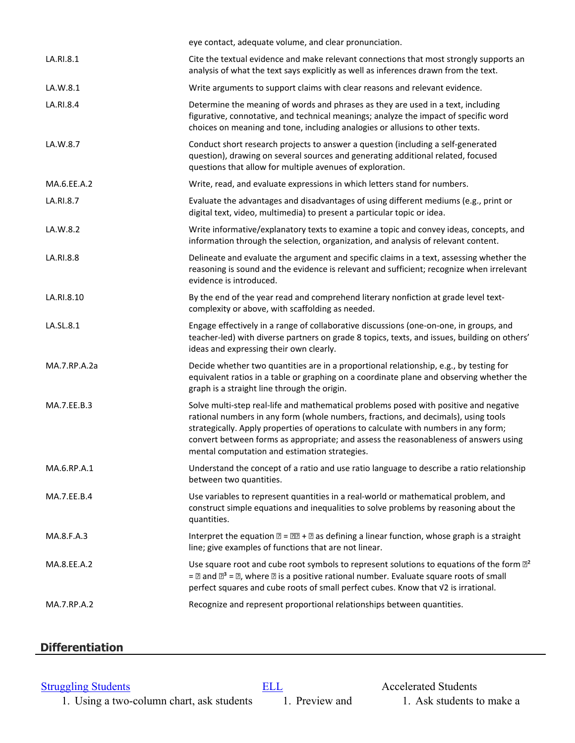|              | eye contact, adequate volume, and clear pronunciation.                                                                                                                                                                                                                                                                                                                                                       |
|--------------|--------------------------------------------------------------------------------------------------------------------------------------------------------------------------------------------------------------------------------------------------------------------------------------------------------------------------------------------------------------------------------------------------------------|
| LA.RI.8.1    | Cite the textual evidence and make relevant connections that most strongly supports an<br>analysis of what the text says explicitly as well as inferences drawn from the text.                                                                                                                                                                                                                               |
| LA.W.8.1     | Write arguments to support claims with clear reasons and relevant evidence.                                                                                                                                                                                                                                                                                                                                  |
| LA.RI.8.4    | Determine the meaning of words and phrases as they are used in a text, including<br>figurative, connotative, and technical meanings; analyze the impact of specific word<br>choices on meaning and tone, including analogies or allusions to other texts.                                                                                                                                                    |
| LA.W.8.7     | Conduct short research projects to answer a question (including a self-generated<br>question), drawing on several sources and generating additional related, focused<br>questions that allow for multiple avenues of exploration.                                                                                                                                                                            |
| MA.6.EE.A.2  | Write, read, and evaluate expressions in which letters stand for numbers.                                                                                                                                                                                                                                                                                                                                    |
| LA.RI.8.7    | Evaluate the advantages and disadvantages of using different mediums (e.g., print or<br>digital text, video, multimedia) to present a particular topic or idea.                                                                                                                                                                                                                                              |
| LA.W.8.2     | Write informative/explanatory texts to examine a topic and convey ideas, concepts, and<br>information through the selection, organization, and analysis of relevant content.                                                                                                                                                                                                                                 |
| LA.RI.8.8    | Delineate and evaluate the argument and specific claims in a text, assessing whether the<br>reasoning is sound and the evidence is relevant and sufficient; recognize when irrelevant<br>evidence is introduced.                                                                                                                                                                                             |
| LA.RI.8.10   | By the end of the year read and comprehend literary nonfiction at grade level text-<br>complexity or above, with scaffolding as needed.                                                                                                                                                                                                                                                                      |
| LA.SL.8.1    | Engage effectively in a range of collaborative discussions (one-on-one, in groups, and<br>teacher-led) with diverse partners on grade 8 topics, texts, and issues, building on others'<br>ideas and expressing their own clearly.                                                                                                                                                                            |
| MA.7.RP.A.2a | Decide whether two quantities are in a proportional relationship, e.g., by testing for<br>equivalent ratios in a table or graphing on a coordinate plane and observing whether the<br>graph is a straight line through the origin.                                                                                                                                                                           |
| MA.7.EE.B.3  | Solve multi-step real-life and mathematical problems posed with positive and negative<br>rational numbers in any form (whole numbers, fractions, and decimals), using tools<br>strategically. Apply properties of operations to calculate with numbers in any form;<br>convert between forms as appropriate; and assess the reasonableness of answers using<br>mental computation and estimation strategies. |
| MA.6.RP.A.1  | Understand the concept of a ratio and use ratio language to describe a ratio relationship<br>between two quantities.                                                                                                                                                                                                                                                                                         |
| MA.7.EE.B.4  | Use variables to represent quantities in a real-world or mathematical problem, and<br>construct simple equations and inequalities to solve problems by reasoning about the<br>quantities.                                                                                                                                                                                                                    |
| MA.8.F.A.3   | Interpret the equation $\mathbb{Z} = \mathbb{Z} \mathbb{Z} + \mathbb{Z}$ as defining a linear function, whose graph is a straight<br>line; give examples of functions that are not linear.                                                                                                                                                                                                                   |
| MA.8.EE.A.2  | Use square root and cube root symbols to represent solutions to equations of the form $\mathbb{Z}^2$<br>$=$ 2 and $\mathbb{Z}^3$ = $\mathbb{Z}$ , where $\mathbb{Z}$ is a positive rational number. Evaluate square roots of small<br>perfect squares and cube roots of small perfect cubes. Know that V2 is irrational.                                                                                     |
| MA.7.RP.A.2  | Recognize and represent proportional relationships between quantities.                                                                                                                                                                                                                                                                                                                                       |
|              |                                                                                                                                                                                                                                                                                                                                                                                                              |

# **Differentiation**

1. Using a two-column chart, ask students 1. Preview and 1. Ask students to make a

[Struggling Students](https://app.discoveryeducation.com/player/view/assetGuid/4995767F-D634-40C6-B25B-BDEA06E14F90) **[ELL](https://app.discoveryeducation.com/player/view/assetGuid/D727DF69-B79B-4A92-AA1F-CE23C74D98D9)** Accelerated Students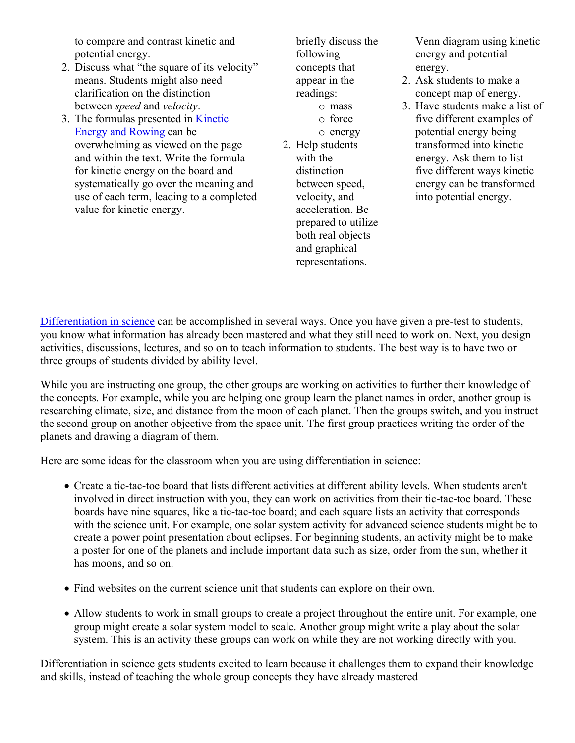to compare and contrast kinetic and potential energy.

- 2. Discuss what "the square of its velocity" means. Students might also need clarification on the distinction between *speed* and *velocity*.
- 3. The formulas presented in [Kinetic](https://app.discoveryeducation.com/player/view/assetGuid/ef48e92e-b4c3-4c40-aa5f-d9d7e2a6dae8)  [Energy and Rowing](https://app.discoveryeducation.com/player/view/assetGuid/ef48e92e-b4c3-4c40-aa5f-d9d7e2a6dae8) can be overwhelming as viewed on the page and within the text. Write the formula for kinetic energy on the board and systematically go over the meaning and use of each term, leading to a completed value for kinetic energy.

briefly discuss the following concepts that appear in the readings: o mass

- o force o energy
- 2. Help students with the distinction between speed, velocity, and acceleration. Be prepared to utilize both real objects and graphical representations.

Venn diagram using kinetic energy and potential energy.

- 2. Ask students to make a concept map of energy.
- 3. Have students make a list of five different examples of potential energy being transformed into kinetic energy. Ask them to list five different ways kinetic energy can be transformed into potential energy.

[Differentiation in science](http://www.brighthubeducation.com/teaching-gifted-students/65181-differentiation-techniques-and-activities-in-the-classroom-for-gifted-students/) can be accomplished in several ways. Once you have given a pre-test to students, you know what information has already been mastered and what they still need to work on. Next, you design activities, discussions, lectures, and so on to teach information to students. The best way is to have two or three groups of students divided by ability level.

While you are instructing one group, the other groups are working on activities to further their knowledge of the concepts. For example, while you are helping one group learn the planet names in order, another group is researching climate, size, and distance from the moon of each planet. Then the groups switch, and you instruct the second group on another objective from the space unit. The first group practices writing the order of the planets and drawing a diagram of them.

Here are some ideas for the classroom when you are using differentiation in science:

- Create a tic-tac-toe board that lists different activities at different ability levels. When students aren't involved in direct instruction with you, they can work on activities from their tic-tac-toe board. These boards have nine squares, like a tic-tac-toe board; and each square lists an activity that corresponds with the science unit. For example, one solar system activity for advanced science students might be to create a power point presentation about eclipses. For beginning students, an activity might be to make a poster for one of the planets and include important data such as size, order from the sun, whether it has moons, and so on.
- Find websites on the current science unit that students can explore on their own.
- Allow students to work in small groups to create a project throughout the entire unit. For example, one group might create a solar system model to scale. Another group might write a play about the solar system. This is an activity these groups can work on while they are not working directly with you.

Differentiation in science gets students excited to learn because it challenges them to expand their knowledge and skills, instead of teaching the whole group concepts they have already mastered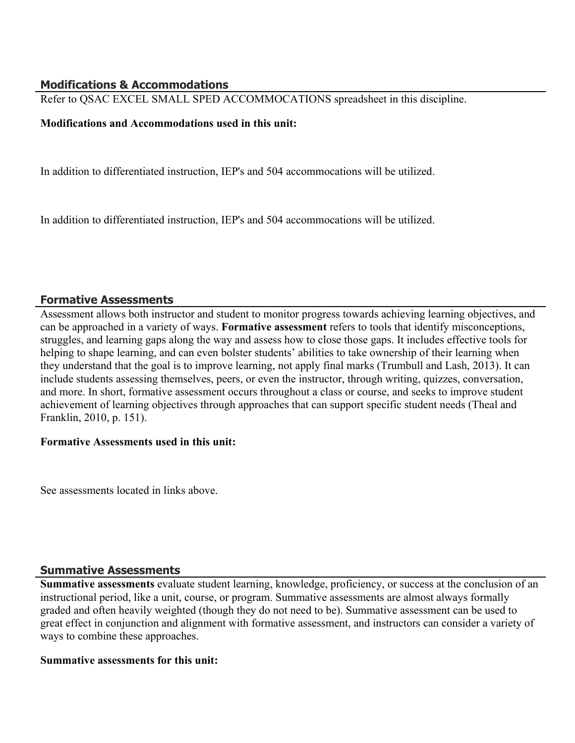### **Modifications & Accommodations**

Refer to QSAC EXCEL SMALL SPED ACCOMMOCATIONS spreadsheet in this discipline.

### **Modifications and Accommodations used in this unit:**

In addition to differentiated instruction, IEP's and 504 accommocations will be utilized.

In addition to differentiated instruction, IEP's and 504 accommocations will be utilized.

### **Formative Assessments**

Assessment allows both instructor and student to monitor progress towards achieving learning objectives, and can be approached in a variety of ways. **Formative assessment** refers to tools that identify misconceptions, struggles, and learning gaps along the way and assess how to close those gaps. It includes effective tools for helping to shape learning, and can even bolster students' abilities to take ownership of their learning when they understand that the goal is to improve learning, not apply final marks (Trumbull and Lash, 2013). It can include students assessing themselves, peers, or even the instructor, through writing, quizzes, conversation, and more. In short, formative assessment occurs throughout a class or course, and seeks to improve student achievement of learning objectives through approaches that can support specific student needs (Theal and Franklin, 2010, p. 151).

### **Formative Assessments used in this unit:**

See assessments located in links above.

### **Summative Assessments**

**Summative assessments** evaluate student learning, knowledge, proficiency, or success at the conclusion of an instructional period, like a unit, course, or program. Summative assessments are almost always formally graded and often heavily weighted (though they do not need to be). Summative assessment can be used to great effect in conjunction and alignment with formative assessment, and instructors can consider a variety of ways to combine these approaches.

### **Summative assessments for this unit:**